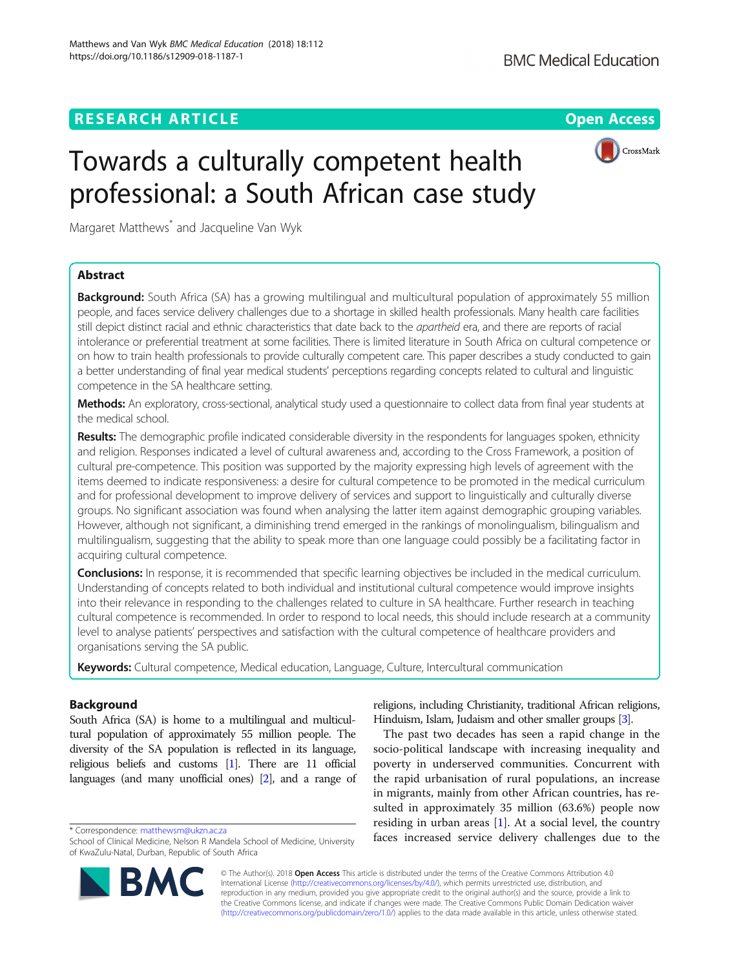## **RESEARCH ARTICLE EXECUTE: Open Access**



# Towards a culturally competent health professional: a South African case study

Margaret Matthews\* and Jacqueline Van Wyk

## Abstract

**Background:** South Africa (SA) has a growing multilingual and multicultural population of approximately 55 million people, and faces service delivery challenges due to a shortage in skilled health professionals. Many health care facilities still depict distinct racial and ethnic characteristics that date back to the *apartheid* era, and there are reports of racial intolerance or preferential treatment at some facilities. There is limited literature in South Africa on cultural competence or on how to train health professionals to provide culturally competent care. This paper describes a study conducted to gain a better understanding of final year medical students' perceptions regarding concepts related to cultural and linguistic competence in the SA healthcare setting.

Methods: An exploratory, cross-sectional, analytical study used a questionnaire to collect data from final year students at the medical school.

Results: The demographic profile indicated considerable diversity in the respondents for languages spoken, ethnicity and religion. Responses indicated a level of cultural awareness and, according to the Cross Framework, a position of cultural pre-competence. This position was supported by the majority expressing high levels of agreement with the items deemed to indicate responsiveness: a desire for cultural competence to be promoted in the medical curriculum and for professional development to improve delivery of services and support to linguistically and culturally diverse groups. No significant association was found when analysing the latter item against demographic grouping variables. However, although not significant, a diminishing trend emerged in the rankings of monolingualism, bilingualism and multilingualism, suggesting that the ability to speak more than one language could possibly be a facilitating factor in acquiring cultural competence.

**Conclusions:** In response, it is recommended that specific learning objectives be included in the medical curriculum. Understanding of concepts related to both individual and institutional cultural competence would improve insights into their relevance in responding to the challenges related to culture in SA healthcare. Further research in teaching cultural competence is recommended. In order to respond to local needs, this should include research at a community level to analyse patients' perspectives and satisfaction with the cultural competence of healthcare providers and organisations serving the SA public.

Keywords: Cultural competence, Medical education, Language, Culture, Intercultural communication

## Background

South Africa (SA) is home to a multilingual and multicultural population of approximately 55 million people. The diversity of the SA population is reflected in its language, religious beliefs and customs [\[1](#page-9-0)]. There are 11 official languages (and many unofficial ones) [[2](#page-9-0)], and a range of

religions, including Christianity, traditional African religions, Hinduism, Islam, Judaism and other smaller groups [\[3\]](#page-9-0).

The past two decades has seen a rapid change in the socio-political landscape with increasing inequality and poverty in underserved communities. Concurrent with the rapid urbanisation of rural populations, an increase in migrants, mainly from other African countries, has resulted in approximately 35 million (63.6%) people now residing in urban areas  $[1]$ . At a social level, the country \* Correspondence: [matthewsm@ukzn.ac.za](mailto:matthewsm@ukzn.ac.za)<br>School of Clinical Medicine Nelson B Mandela School of Medicine University **faces increased service delivery challenges due to the** 



© The Author(s). 2018 Open Access This article is distributed under the terms of the Creative Commons Attribution 4.0 International License [\(http://creativecommons.org/licenses/by/4.0/](http://creativecommons.org/licenses/by/4.0/)), which permits unrestricted use, distribution, and reproduction in any medium, provided you give appropriate credit to the original author(s) and the source, provide a link to the Creative Commons license, and indicate if changes were made. The Creative Commons Public Domain Dedication waiver [\(http://creativecommons.org/publicdomain/zero/1.0/](http://creativecommons.org/publicdomain/zero/1.0/)) applies to the data made available in this article, unless otherwise stated.

School of Clinical Medicine, Nelson R Mandela School of Medicine, University of KwaZulu-Natal, Durban, Republic of South Africa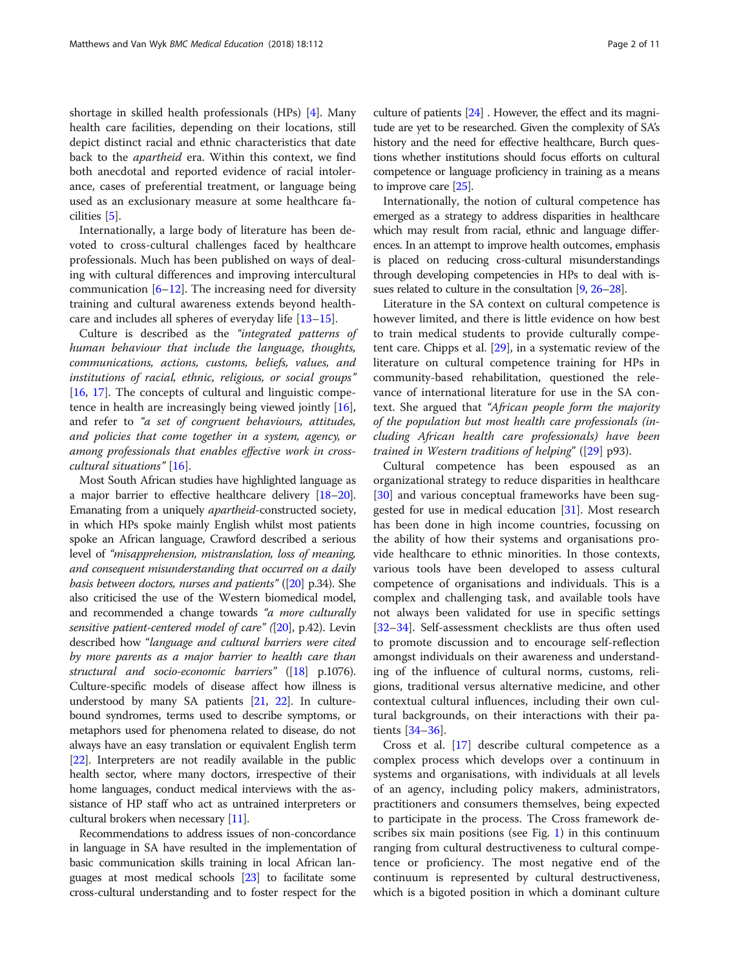shortage in skilled health professionals (HPs) [\[4\]](#page-9-0). Many health care facilities, depending on their locations, still depict distinct racial and ethnic characteristics that date back to the apartheid era. Within this context, we find both anecdotal and reported evidence of racial intolerance, cases of preferential treatment, or language being used as an exclusionary measure at some healthcare facilities [[5\]](#page-9-0).

Internationally, a large body of literature has been devoted to cross-cultural challenges faced by healthcare professionals. Much has been published on ways of dealing with cultural differences and improving intercultural communication  $[6–12]$  $[6–12]$  $[6–12]$  $[6–12]$ . The increasing need for diversity training and cultural awareness extends beyond healthcare and includes all spheres of everyday life [[13](#page-9-0)–[15](#page-9-0)].

Culture is described as the "integrated patterns of human behaviour that include the language, thoughts, communications, actions, customs, beliefs, values, and institutions of racial, ethnic, religious, or social groups" [[16,](#page-9-0) [17](#page-9-0)]. The concepts of cultural and linguistic competence in health are increasingly being viewed jointly [\[16](#page-9-0)], and refer to "a set of congruent behaviours, attitudes, and policies that come together in a system, agency, or among professionals that enables effective work in crosscultural situations" [[16\]](#page-9-0).

Most South African studies have highlighted language as a major barrier to effective healthcare delivery [[18](#page-9-0)–[20](#page-9-0)]. Emanating from a uniquely apartheid-constructed society, in which HPs spoke mainly English whilst most patients spoke an African language, Crawford described a serious level of "misapprehension, mistranslation, loss of meaning, and consequent misunderstanding that occurred on a daily basis between doctors, nurses and patients" ([\[20](#page-9-0)]  $p.34$ ). She also criticised the use of the Western biomedical model, and recommended a change towards "a more culturally sensitive patient-centered model of care" ([[20](#page-9-0)], p.42). Levin described how "language and cultural barriers were cited by more parents as a major barrier to health care than structural and socio-economic barriers" ([\[18\]](#page-9-0) p.1076). Culture-specific models of disease affect how illness is understood by many SA patients [\[21,](#page-9-0) [22](#page-9-0)]. In culturebound syndromes, terms used to describe symptoms, or metaphors used for phenomena related to disease, do not always have an easy translation or equivalent English term [[22](#page-9-0)]. Interpreters are not readily available in the public health sector, where many doctors, irrespective of their home languages, conduct medical interviews with the assistance of HP staff who act as untrained interpreters or cultural brokers when necessary [\[11](#page-9-0)].

Recommendations to address issues of non-concordance in language in SA have resulted in the implementation of basic communication skills training in local African languages at most medical schools [[23](#page-9-0)] to facilitate some cross-cultural understanding and to foster respect for the culture of patients [\[24\]](#page-9-0) . However, the effect and its magnitude are yet to be researched. Given the complexity of SA's history and the need for effective healthcare, Burch questions whether institutions should focus efforts on cultural competence or language proficiency in training as a means to improve care [\[25](#page-9-0)].

Internationally, the notion of cultural competence has emerged as a strategy to address disparities in healthcare which may result from racial, ethnic and language differences. In an attempt to improve health outcomes, emphasis is placed on reducing cross-cultural misunderstandings through developing competencies in HPs to deal with issues related to culture in the consultation [\[9,](#page-9-0) [26](#page-9-0)–[28\]](#page-9-0).

Literature in the SA context on cultural competence is however limited, and there is little evidence on how best to train medical students to provide culturally competent care. Chipps et al. [\[29](#page-9-0)], in a systematic review of the literature on cultural competence training for HPs in community-based rehabilitation, questioned the relevance of international literature for use in the SA context. She argued that "African people form the majority of the population but most health care professionals (including African health care professionals) have been trained in Western traditions of helping" ([\[29](#page-9-0)] p93).

Cultural competence has been espoused as an organizational strategy to reduce disparities in healthcare [[30\]](#page-9-0) and various conceptual frameworks have been suggested for use in medical education [[31\]](#page-9-0). Most research has been done in high income countries, focussing on the ability of how their systems and organisations provide healthcare to ethnic minorities. In those contexts, various tools have been developed to assess cultural competence of organisations and individuals. This is a complex and challenging task, and available tools have not always been validated for use in specific settings [[32](#page-9-0)–[34](#page-9-0)]. Self-assessment checklists are thus often used to promote discussion and to encourage self-reflection amongst individuals on their awareness and understanding of the influence of cultural norms, customs, religions, traditional versus alternative medicine, and other contextual cultural influences, including their own cultural backgrounds, on their interactions with their patients [\[34](#page-9-0)–[36\]](#page-9-0).

Cross et al. [[17\]](#page-9-0) describe cultural competence as a complex process which develops over a continuum in systems and organisations, with individuals at all levels of an agency, including policy makers, administrators, practitioners and consumers themselves, being expected to participate in the process. The Cross framework describes six main positions (see Fig. [1](#page-2-0)) in this continuum ranging from cultural destructiveness to cultural competence or proficiency. The most negative end of the continuum is represented by cultural destructiveness, which is a bigoted position in which a dominant culture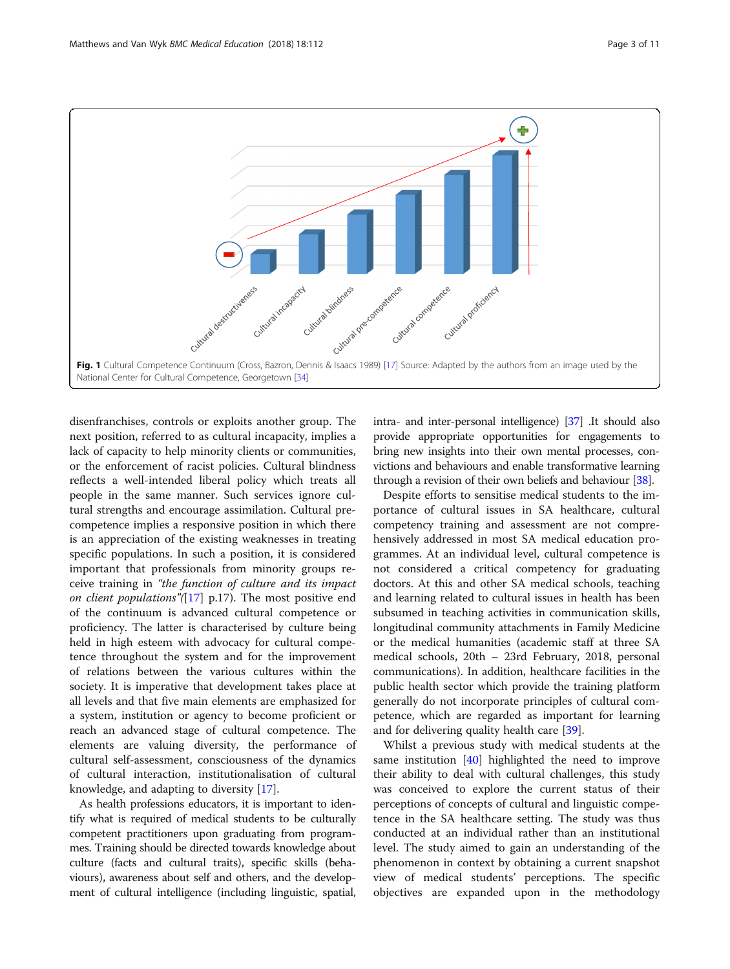<span id="page-2-0"></span>

disenfranchises, controls or exploits another group. The next position, referred to as cultural incapacity, implies a lack of capacity to help minority clients or communities, or the enforcement of racist policies. Cultural blindness reflects a well-intended liberal policy which treats all people in the same manner. Such services ignore cultural strengths and encourage assimilation. Cultural precompetence implies a responsive position in which there is an appreciation of the existing weaknesses in treating specific populations. In such a position, it is considered important that professionals from minority groups receive training in "the function of culture and its impact on client populations"( $\left[17\right]$  $\left[17\right]$  $\left[17\right]$  p.17). The most positive end of the continuum is advanced cultural competence or proficiency. The latter is characterised by culture being held in high esteem with advocacy for cultural competence throughout the system and for the improvement of relations between the various cultures within the society. It is imperative that development takes place at all levels and that five main elements are emphasized for a system, institution or agency to become proficient or reach an advanced stage of cultural competence. The elements are valuing diversity, the performance of cultural self-assessment, consciousness of the dynamics of cultural interaction, institutionalisation of cultural knowledge, and adapting to diversity [[17\]](#page-9-0).

As health professions educators, it is important to identify what is required of medical students to be culturally competent practitioners upon graduating from programmes. Training should be directed towards knowledge about culture (facts and cultural traits), specific skills (behaviours), awareness about self and others, and the development of cultural intelligence (including linguistic, spatial,

intra- and inter-personal intelligence) [[37](#page-9-0)] .It should also provide appropriate opportunities for engagements to bring new insights into their own mental processes, convictions and behaviours and enable transformative learning through a revision of their own beliefs and behaviour [\[38\]](#page-9-0).

Despite efforts to sensitise medical students to the importance of cultural issues in SA healthcare, cultural competency training and assessment are not comprehensively addressed in most SA medical education programmes. At an individual level, cultural competence is not considered a critical competency for graduating doctors. At this and other SA medical schools, teaching and learning related to cultural issues in health has been subsumed in teaching activities in communication skills, longitudinal community attachments in Family Medicine or the medical humanities (academic staff at three SA medical schools, 20th – 23rd February, 2018, personal communications). In addition, healthcare facilities in the public health sector which provide the training platform generally do not incorporate principles of cultural competence, which are regarded as important for learning and for delivering quality health care [[39\]](#page-9-0).

Whilst a previous study with medical students at the same institution [[40\]](#page-9-0) highlighted the need to improve their ability to deal with cultural challenges, this study was conceived to explore the current status of their perceptions of concepts of cultural and linguistic competence in the SA healthcare setting. The study was thus conducted at an individual rather than an institutional level. The study aimed to gain an understanding of the phenomenon in context by obtaining a current snapshot view of medical students' perceptions. The specific objectives are expanded upon in the methodology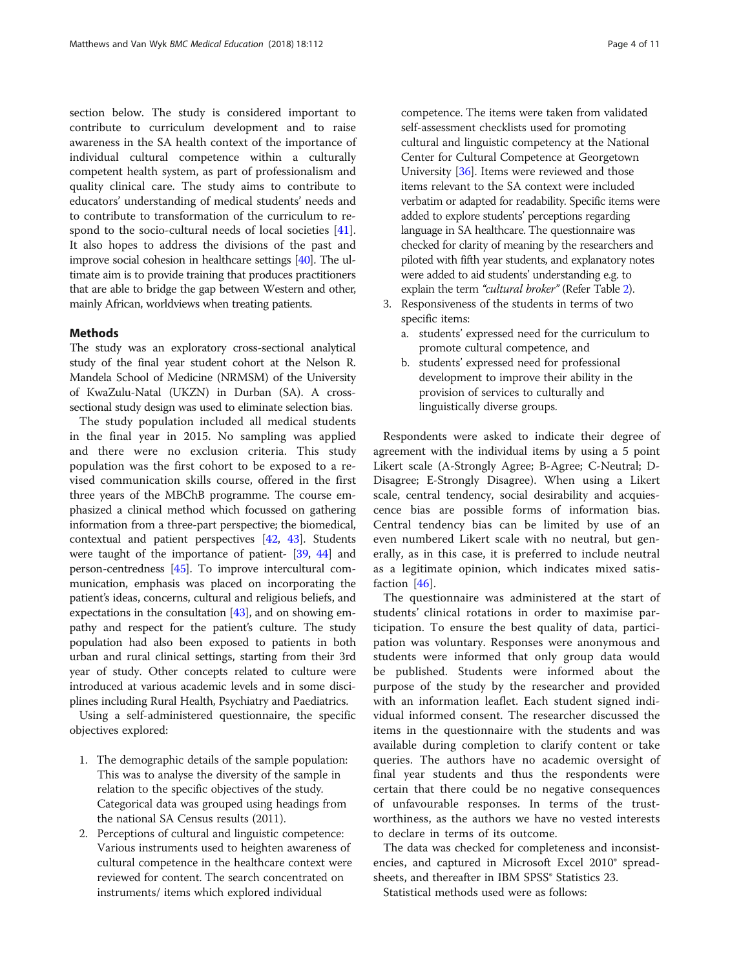section below. The study is considered important to contribute to curriculum development and to raise awareness in the SA health context of the importance of individual cultural competence within a culturally competent health system, as part of professionalism and quality clinical care. The study aims to contribute to educators' understanding of medical students' needs and to contribute to transformation of the curriculum to respond to the socio-cultural needs of local societies [\[41](#page-9-0)]. It also hopes to address the divisions of the past and improve social cohesion in healthcare settings [\[40\]](#page-9-0). The ultimate aim is to provide training that produces practitioners that are able to bridge the gap between Western and other, mainly African, worldviews when treating patients.

#### Methods

The study was an exploratory cross-sectional analytical study of the final year student cohort at the Nelson R. Mandela School of Medicine (NRMSM) of the University of KwaZulu-Natal (UKZN) in Durban (SA). A crosssectional study design was used to eliminate selection bias.

The study population included all medical students in the final year in 2015. No sampling was applied and there were no exclusion criteria. This study population was the first cohort to be exposed to a revised communication skills course, offered in the first three years of the MBChB programme. The course emphasized a clinical method which focussed on gathering information from a three-part perspective; the biomedical, contextual and patient perspectives [\[42,](#page-9-0) [43](#page-9-0)]. Students were taught of the importance of patient- [\[39,](#page-9-0) [44\]](#page-9-0) and person-centredness [\[45\]](#page-9-0). To improve intercultural communication, emphasis was placed on incorporating the patient's ideas, concerns, cultural and religious beliefs, and expectations in the consultation [\[43](#page-9-0)], and on showing empathy and respect for the patient's culture. The study population had also been exposed to patients in both urban and rural clinical settings, starting from their 3rd year of study. Other concepts related to culture were introduced at various academic levels and in some disciplines including Rural Health, Psychiatry and Paediatrics.

Using a self-administered questionnaire, the specific objectives explored:

- 1. The demographic details of the sample population: This was to analyse the diversity of the sample in relation to the specific objectives of the study. Categorical data was grouped using headings from the national SA Census results (2011).
- 2. Perceptions of cultural and linguistic competence: Various instruments used to heighten awareness of cultural competence in the healthcare context were reviewed for content. The search concentrated on instruments/ items which explored individual

competence. The items were taken from validated self-assessment checklists used for promoting cultural and linguistic competency at the National Center for Cultural Competence at Georgetown University [[36](#page-9-0)]. Items were reviewed and those items relevant to the SA context were included verbatim or adapted for readability. Specific items were added to explore students' perceptions regarding language in SA healthcare. The questionnaire was checked for clarity of meaning by the researchers and piloted with fifth year students, and explanatory notes were added to aid students' understanding e.g. to explain the term "cultural broker" (Refer Table [2](#page-6-0)).

- 3. Responsiveness of the students in terms of two specific items:
	- a. students' expressed need for the curriculum to promote cultural competence, and
	- b. students' expressed need for professional development to improve their ability in the provision of services to culturally and linguistically diverse groups.

Respondents were asked to indicate their degree of agreement with the individual items by using a 5 point Likert scale (A-Strongly Agree; B-Agree; C-Neutral; D-Disagree; E-Strongly Disagree). When using a Likert scale, central tendency, social desirability and acquiescence bias are possible forms of information bias. Central tendency bias can be limited by use of an even numbered Likert scale with no neutral, but generally, as in this case, it is preferred to include neutral as a legitimate opinion, which indicates mixed satisfaction [\[46](#page-9-0)].

The questionnaire was administered at the start of students' clinical rotations in order to maximise participation. To ensure the best quality of data, participation was voluntary. Responses were anonymous and students were informed that only group data would be published. Students were informed about the purpose of the study by the researcher and provided with an information leaflet. Each student signed individual informed consent. The researcher discussed the items in the questionnaire with the students and was available during completion to clarify content or take queries. The authors have no academic oversight of final year students and thus the respondents were certain that there could be no negative consequences of unfavourable responses. In terms of the trustworthiness, as the authors we have no vested interests to declare in terms of its outcome.

The data was checked for completeness and inconsistencies, and captured in Microsoft Excel 2010® spreadsheets, and thereafter in IBM SPSS® Statistics 23.

Statistical methods used were as follows: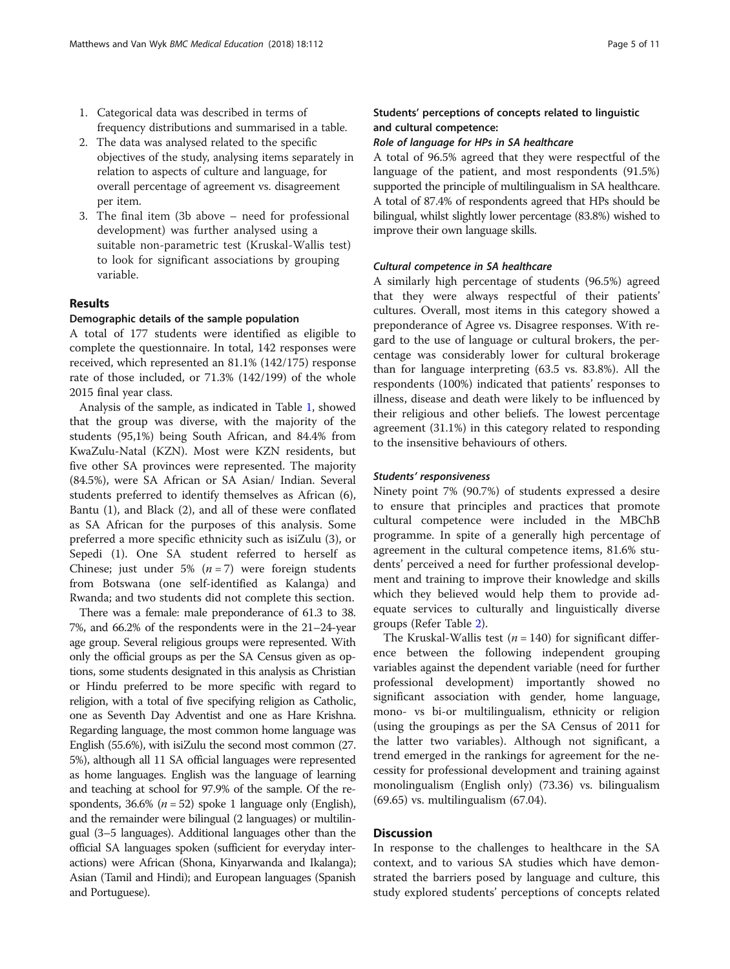- 1. Categorical data was described in terms of frequency distributions and summarised in a table.
- 2. The data was analysed related to the specific objectives of the study, analysing items separately in relation to aspects of culture and language, for overall percentage of agreement vs. disagreement per item.
- 3. The final item (3b above need for professional development) was further analysed using a suitable non-parametric test (Kruskal-Wallis test) to look for significant associations by grouping variable.

## Results

#### Demographic details of the sample population

A total of 177 students were identified as eligible to complete the questionnaire. In total, 142 responses were received, which represented an 81.1% (142/175) response rate of those included, or 71.3% (142/199) of the whole 2015 final year class.

Analysis of the sample, as indicated in Table [1,](#page-5-0) showed that the group was diverse, with the majority of the students (95,1%) being South African, and 84.4% from KwaZulu-Natal (KZN). Most were KZN residents, but five other SA provinces were represented. The majority (84.5%), were SA African or SA Asian/ Indian. Several students preferred to identify themselves as African (6), Bantu (1), and Black (2), and all of these were conflated as SA African for the purposes of this analysis. Some preferred a more specific ethnicity such as isiZulu (3), or Sepedi (1). One SA student referred to herself as Chinese; just under 5%  $(n = 7)$  were foreign students from Botswana (one self-identified as Kalanga) and Rwanda; and two students did not complete this section.

There was a female: male preponderance of 61.3 to 38. 7%, and 66.2% of the respondents were in the 21–24-year age group. Several religious groups were represented. With only the official groups as per the SA Census given as options, some students designated in this analysis as Christian or Hindu preferred to be more specific with regard to religion, with a total of five specifying religion as Catholic, one as Seventh Day Adventist and one as Hare Krishna. Regarding language, the most common home language was English (55.6%), with isiZulu the second most common (27. 5%), although all 11 SA official languages were represented as home languages. English was the language of learning and teaching at school for 97.9% of the sample. Of the respondents, 36.6% ( $n = 52$ ) spoke 1 language only (English), and the remainder were bilingual (2 languages) or multilingual (3–5 languages). Additional languages other than the official SA languages spoken (sufficient for everyday interactions) were African (Shona, Kinyarwanda and Ikalanga); Asian (Tamil and Hindi); and European languages (Spanish and Portuguese).

## Students' perceptions of concepts related to linguistic and cultural competence:

#### Role of language for HPs in SA healthcare

A total of 96.5% agreed that they were respectful of the language of the patient, and most respondents (91.5%) supported the principle of multilingualism in SA healthcare. A total of 87.4% of respondents agreed that HPs should be bilingual, whilst slightly lower percentage (83.8%) wished to improve their own language skills.

## Cultural competence in SA healthcare

A similarly high percentage of students (96.5%) agreed that they were always respectful of their patients' cultures. Overall, most items in this category showed a preponderance of Agree vs. Disagree responses. With regard to the use of language or cultural brokers, the percentage was considerably lower for cultural brokerage than for language interpreting (63.5 vs. 83.8%). All the respondents (100%) indicated that patients' responses to illness, disease and death were likely to be influenced by their religious and other beliefs. The lowest percentage agreement (31.1%) in this category related to responding to the insensitive behaviours of others.

#### Students' responsiveness

Ninety point 7% (90.7%) of students expressed a desire to ensure that principles and practices that promote cultural competence were included in the MBChB programme. In spite of a generally high percentage of agreement in the cultural competence items, 81.6% students' perceived a need for further professional development and training to improve their knowledge and skills which they believed would help them to provide adequate services to culturally and linguistically diverse groups (Refer Table [2\)](#page-6-0).

The Kruskal-Wallis test ( $n = 140$ ) for significant difference between the following independent grouping variables against the dependent variable (need for further professional development) importantly showed no significant association with gender, home language, mono- vs bi-or multilingualism, ethnicity or religion (using the groupings as per the SA Census of 2011 for the latter two variables). Although not significant, a trend emerged in the rankings for agreement for the necessity for professional development and training against monolingualism (English only) (73.36) vs. bilingualism (69.65) vs. multilingualism (67.04).

## **Discussion**

In response to the challenges to healthcare in the SA context, and to various SA studies which have demonstrated the barriers posed by language and culture, this study explored students' perceptions of concepts related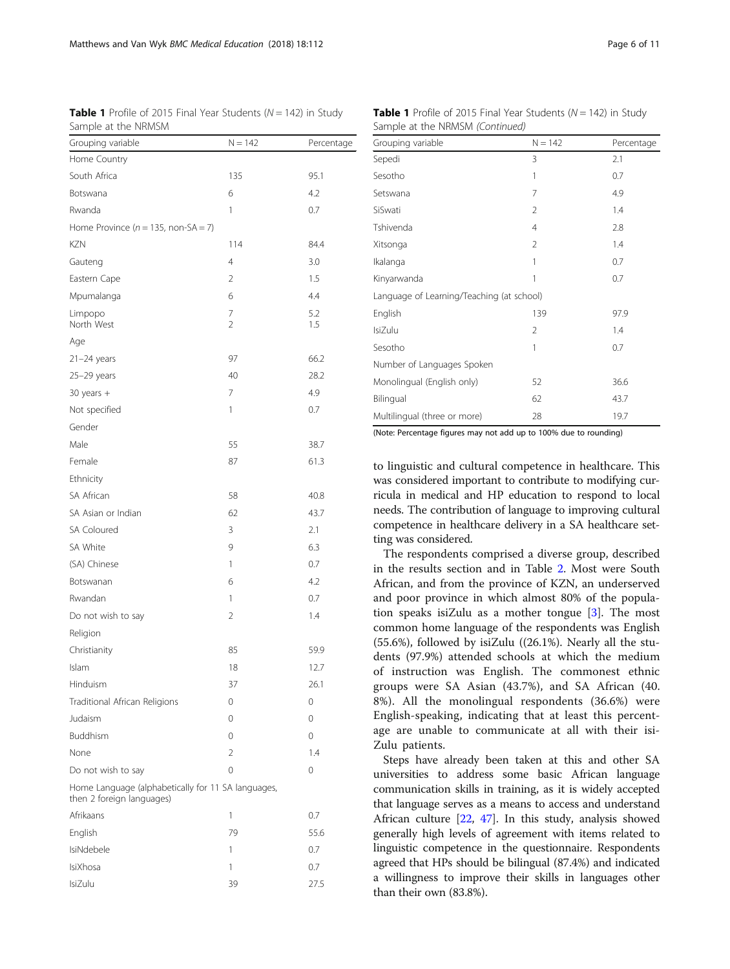Multilingual (three or more) 28 19.7 (Note: Percentage figures may not add up to 100% due to rounding)

Monolingual (English only) 52 52 36.6 Bilingual 62 43.7

English 139 97.9 IsiZulu 2 1.4 Sesotho 1 0.7

Language of Learning/Teaching (at school)

Number of Languages Spoken

to linguistic and cultural competence in healthcare. This was considered important to contribute to modifying curricula in medical and HP education to respond to local needs. The contribution of language to improving cultural competence in healthcare delivery in a SA healthcare setting was considered.

The respondents comprised a diverse group, described in the results section and in Table [2.](#page-6-0) Most were South African, and from the province of KZN, an underserved and poor province in which almost 80% of the population speaks isiZulu as a mother tongue [[3](#page-9-0)]. The most common home language of the respondents was English (55.6%), followed by isiZulu ((26.1%). Nearly all the students (97.9%) attended schools at which the medium of instruction was English. The commonest ethnic groups were SA Asian (43.7%), and SA African (40. 8%). All the monolingual respondents (36.6%) were English-speaking, indicating that at least this percentage are unable to communicate at all with their isi-Zulu patients.

Steps have already been taken at this and other SA universities to address some basic African language communication skills in training, as it is widely accepted that language serves as a means to access and understand African culture [\[22](#page-9-0), [47\]](#page-9-0). In this study, analysis showed generally high levels of agreement with items related to linguistic competence in the questionnaire. Respondents agreed that HPs should be bilingual (87.4%) and indicated a willingness to improve their skills in languages other than their own (83.8%).

<span id="page-5-0"></span>**Table 1** Profile of 2015 Final Year Students ( $N = 142$ ) in Study Sample at the NRMSM

| Grouping variable                                                               | $N = 142$           | Percentage |
|---------------------------------------------------------------------------------|---------------------|------------|
| Home Country                                                                    |                     |            |
| South Africa                                                                    | 135                 | 95.1       |
| Botswana                                                                        | 6                   | 4.2        |
| Rwanda                                                                          | 1                   | 0.7        |
| Home Province ( $n = 135$ , non-SA = 7)                                         |                     |            |
| <b>KZN</b>                                                                      | 114                 | 84.4       |
| Gauteng                                                                         | 4                   | 3.0        |
| Eastern Cape                                                                    | $\overline{2}$      | 1.5        |
| Mpumalanga                                                                      | 6                   | 4.4        |
| Limpopo<br>North West                                                           | 7<br>$\overline{2}$ | 5.2<br>1.5 |
| Age                                                                             |                     |            |
| $21-24$ years                                                                   | 97                  | 66.2       |
| 25-29 years                                                                     | 40                  | 28.2       |
| $30$ years +                                                                    | 7                   | 4.9        |
| Not specified                                                                   | 1                   | 0.7        |
| Gender                                                                          |                     |            |
| Male                                                                            | 55                  | 38.7       |
| Female                                                                          | 87                  | 61.3       |
| Ethnicity                                                                       |                     |            |
| SA African                                                                      | 58                  | 40.8       |
| SA Asian or Indian                                                              | 62                  | 43.7       |
| <b>SA Coloured</b>                                                              | 3                   | 2.1        |
| SA White                                                                        | 9                   | 6.3        |
| (SA) Chinese                                                                    | 1                   | 0.7        |
| Botswanan                                                                       | 6                   | 4.2        |
| Rwandan                                                                         | 1                   | 0.7        |
| Do not wish to say                                                              | $\overline{2}$      | 1.4        |
| Religion                                                                        |                     |            |
| Christianity                                                                    | 85                  | 59.9       |
| Islam                                                                           | 18                  | 12.7       |
| Hinduism                                                                        | 37                  | 26.1       |
| Traditional African Religions                                                   | 0                   | 0          |
| Judaism                                                                         | 0                   | 0          |
| Buddhism                                                                        | 0                   | 0          |
| None                                                                            | 2                   | 1.4        |
| Do not wish to say                                                              | $\Omega$            | 0          |
| Home Language (alphabetically for 11 SA languages,<br>then 2 foreign languages) |                     |            |
| Afrikaans                                                                       | 1                   | 0.7        |
| English                                                                         | 79                  | 55.6       |
| IsiNdebele                                                                      | 1                   | 0.7        |
| IsiXhosa                                                                        | 1                   | 0.7        |
| IsiZulu                                                                         | 39                  | 27.5       |
|                                                                                 |                     |            |

**Table 1** Profile of 2015 Final Year Students ( $N = 142$ ) in Study Sample at the NRMSM (Continued)

Grouping variable  $N = 142$  Percentage Sepedi 3 2.1 Sesotho 1 0.7 Setswana 7 4.9 SiSwati 2 1.4 Tshivenda 4 2.8 Xitsonga 2 1.4 Ikalanga 1 0.7 Kinyarwanda 6.7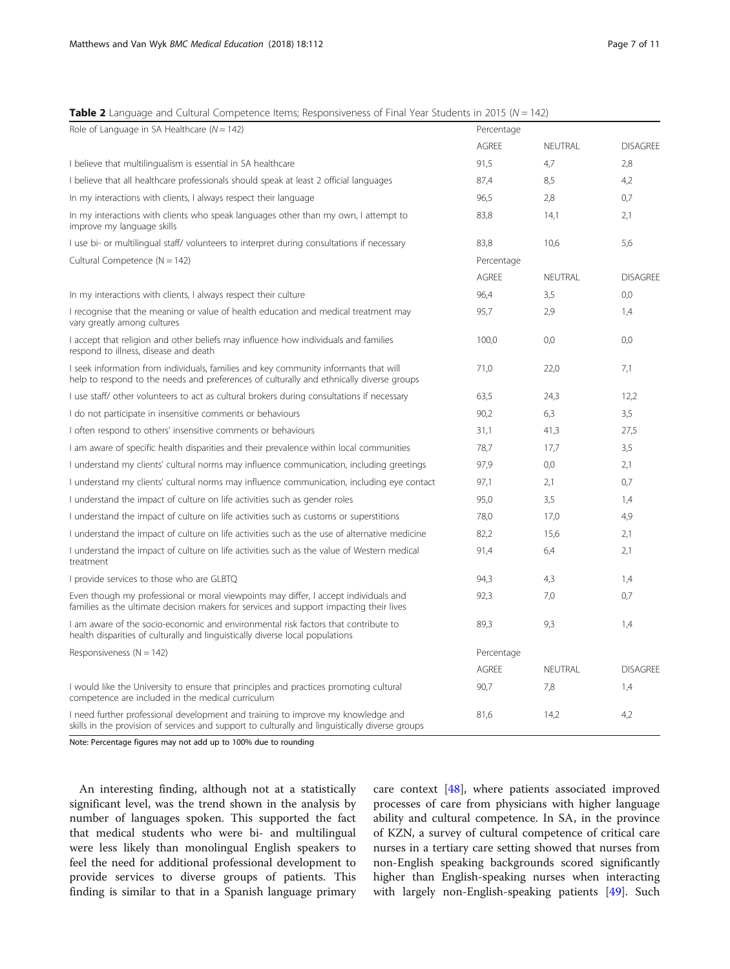<span id="page-6-0"></span>Table 2 Language and Cultural Competence Items; Responsiveness of Final Year Students in 2015 (N = 142)

| Role of Language in SA Healthcare ( $N = 142$ )                                                                                                                                     | Percentage   |         |                 |
|-------------------------------------------------------------------------------------------------------------------------------------------------------------------------------------|--------------|---------|-----------------|
|                                                                                                                                                                                     | <b>AGRFF</b> | NFUTRAI | <b>DISAGREE</b> |
| I believe that multilingualism is essential in SA healthcare                                                                                                                        | 91,5         | 4,7     | 2,8             |
| I believe that all healthcare professionals should speak at least 2 official languages                                                                                              |              | 8,5     | 4,2             |
| In my interactions with clients, I always respect their language                                                                                                                    |              | 2,8     | 0,7             |
| In my interactions with clients who speak languages other than my own, I attempt to<br>improve my language skills                                                                   |              | 14.1    | 2,1             |
| I use bi- or multilingual staff/volunteers to interpret during consultations if necessary                                                                                           | 83.8         | 10.6    | 5,6             |
| Cultural Competence ( $N = 142$ )                                                                                                                                                   | Percentage   |         |                 |
|                                                                                                                                                                                     | <b>AGREE</b> | NEUTRAL | <b>DISAGREE</b> |
| In my interactions with clients, I always respect their culture                                                                                                                     | 96,4         | 3,5     | 0,0             |
| I recognise that the meaning or value of health education and medical treatment may<br>vary greatly among cultures                                                                  |              | 2,9     | 1,4             |
| I accept that religion and other beliefs may influence how individuals and families<br>respond to illness, disease and death                                                        | 100,0        | 0,0     | 0,0             |
| I seek information from individuals, families and key community informants that will<br>help to respond to the needs and preferences of culturally and ethnically diverse groups    | 71,0         | 22,0    | 7,1             |
| I use staff/ other volunteers to act as cultural brokers during consultations if necessary                                                                                          | 63,5         | 24,3    | 12,2            |
| I do not participate in insensitive comments or behaviours                                                                                                                          | 90,2         | 6,3     | 3,5             |
| I often respond to others' insensitive comments or behaviours                                                                                                                       | 31,1         | 41,3    | 27,5            |
| I am aware of specific health disparities and their prevalence within local communities                                                                                             | 78,7         | 17,7    | 3,5             |
| I understand my clients' cultural norms may influence communication, including greetings                                                                                            | 97,9         | 0,0     | 2,1             |
| I understand my clients' cultural norms may influence communication, including eye contact                                                                                          | 97,1         | 2,1     | 0,7             |
| I understand the impact of culture on life activities such as gender roles                                                                                                          | 95,0         | 3,5     | 1,4             |
| I understand the impact of culture on life activities such as customs or superstitions                                                                                              | 78,0         | 17,0    | 4,9             |
| I understand the impact of culture on life activities such as the use of alternative medicine                                                                                       | 82,2         | 15,6    | 2,1             |
| I understand the impact of culture on life activities such as the value of Western medical<br>treatment                                                                             | 91,4         | 6,4     | 2,1             |
| I provide services to those who are GLBTQ                                                                                                                                           | 94,3         | 4,3     | 1,4             |
| Even though my professional or moral viewpoints may differ, I accept individuals and<br>families as the ultimate decision makers for services and support impacting their lives     |              | 7,0     | 0,7             |
| I am aware of the socio-economic and environmental risk factors that contribute to<br>health disparities of culturally and linguistically diverse local populations                 | 89,3         | 9,3     | 1,4             |
| Responsiveness ( $N = 142$ )                                                                                                                                                        | Percentage   |         |                 |
|                                                                                                                                                                                     | AGREE        | NEUTRAL | <b>DISAGREE</b> |
| I would like the University to ensure that principles and practices promoting cultural<br>competence are included in the medical curriculum                                         | 90,7         | 7,8     | 1,4             |
| I need further professional development and training to improve my knowledge and<br>skills in the provision of services and support to culturally and linguistically diverse groups | 81,6         | 14,2    | 4,2             |

Note: Percentage figures may not add up to 100% due to rounding

An interesting finding, although not at a statistically significant level, was the trend shown in the analysis by number of languages spoken. This supported the fact that medical students who were bi- and multilingual were less likely than monolingual English speakers to feel the need for additional professional development to provide services to diverse groups of patients. This finding is similar to that in a Spanish language primary

care context [[48\]](#page-9-0), where patients associated improved processes of care from physicians with higher language ability and cultural competence. In SA, in the province of KZN, a survey of cultural competence of critical care nurses in a tertiary care setting showed that nurses from non-English speaking backgrounds scored significantly higher than English-speaking nurses when interacting with largely non-English-speaking patients [\[49](#page-9-0)]. Such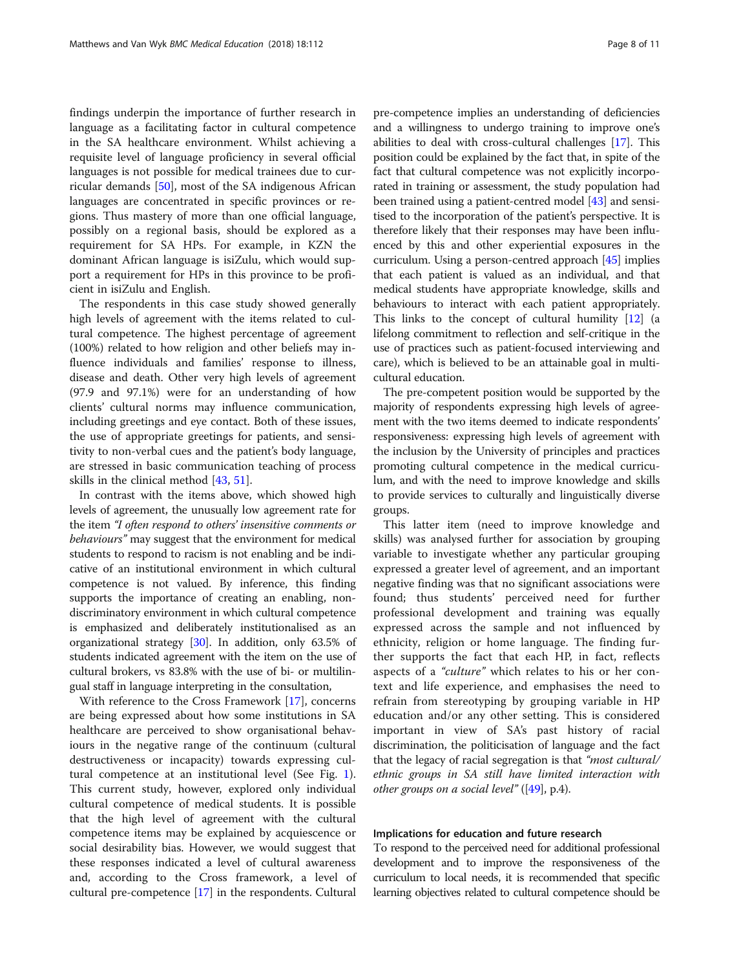findings underpin the importance of further research in language as a facilitating factor in cultural competence in the SA healthcare environment. Whilst achieving a requisite level of language proficiency in several official languages is not possible for medical trainees due to curricular demands [\[50](#page-9-0)], most of the SA indigenous African languages are concentrated in specific provinces or regions. Thus mastery of more than one official language, possibly on a regional basis, should be explored as a requirement for SA HPs. For example, in KZN the dominant African language is isiZulu, which would support a requirement for HPs in this province to be proficient in isiZulu and English.

The respondents in this case study showed generally high levels of agreement with the items related to cultural competence. The highest percentage of agreement (100%) related to how religion and other beliefs may influence individuals and families' response to illness, disease and death. Other very high levels of agreement (97.9 and 97.1%) were for an understanding of how clients' cultural norms may influence communication, including greetings and eye contact. Both of these issues, the use of appropriate greetings for patients, and sensitivity to non-verbal cues and the patient's body language, are stressed in basic communication teaching of process skills in the clinical method [[43,](#page-9-0) [51\]](#page-10-0).

In contrast with the items above, which showed high levels of agreement, the unusually low agreement rate for the item "I often respond to others' insensitive comments or behaviours" may suggest that the environment for medical students to respond to racism is not enabling and be indicative of an institutional environment in which cultural competence is not valued. By inference, this finding supports the importance of creating an enabling, nondiscriminatory environment in which cultural competence is emphasized and deliberately institutionalised as an organizational strategy [[30](#page-9-0)]. In addition, only 63.5% of students indicated agreement with the item on the use of cultural brokers, vs 83.8% with the use of bi- or multilingual staff in language interpreting in the consultation,

With reference to the Cross Framework [[17](#page-9-0)], concerns are being expressed about how some institutions in SA healthcare are perceived to show organisational behaviours in the negative range of the continuum (cultural destructiveness or incapacity) towards expressing cultural competence at an institutional level (See Fig. [1](#page-2-0)). This current study, however, explored only individual cultural competence of medical students. It is possible that the high level of agreement with the cultural competence items may be explained by acquiescence or social desirability bias. However, we would suggest that these responses indicated a level of cultural awareness and, according to the Cross framework, a level of cultural pre-competence [\[17\]](#page-9-0) in the respondents. Cultural pre-competence implies an understanding of deficiencies and a willingness to undergo training to improve one's abilities to deal with cross-cultural challenges [[17](#page-9-0)]. This position could be explained by the fact that, in spite of the fact that cultural competence was not explicitly incorporated in training or assessment, the study population had been trained using a patient-centred model [[43](#page-9-0)] and sensitised to the incorporation of the patient's perspective. It is therefore likely that their responses may have been influenced by this and other experiential exposures in the curriculum. Using a person-centred approach [\[45\]](#page-9-0) implies that each patient is valued as an individual, and that medical students have appropriate knowledge, skills and behaviours to interact with each patient appropriately. This links to the concept of cultural humility [[12](#page-9-0)] (a lifelong commitment to reflection and self-critique in the use of practices such as patient-focused interviewing and care), which is believed to be an attainable goal in multicultural education.

The pre-competent position would be supported by the majority of respondents expressing high levels of agreement with the two items deemed to indicate respondents' responsiveness: expressing high levels of agreement with the inclusion by the University of principles and practices promoting cultural competence in the medical curriculum, and with the need to improve knowledge and skills to provide services to culturally and linguistically diverse groups.

This latter item (need to improve knowledge and skills) was analysed further for association by grouping variable to investigate whether any particular grouping expressed a greater level of agreement, and an important negative finding was that no significant associations were found; thus students' perceived need for further professional development and training was equally expressed across the sample and not influenced by ethnicity, religion or home language. The finding further supports the fact that each HP, in fact, reflects aspects of a "culture" which relates to his or her context and life experience, and emphasises the need to refrain from stereotyping by grouping variable in HP education and/or any other setting. This is considered important in view of SA's past history of racial discrimination, the politicisation of language and the fact that the legacy of racial segregation is that "most cultural/ ethnic groups in SA still have limited interaction with other groups on a social level"  $([49], p.4)$  $([49], p.4)$  $([49], p.4)$ .

#### Implications for education and future research

To respond to the perceived need for additional professional development and to improve the responsiveness of the curriculum to local needs, it is recommended that specific learning objectives related to cultural competence should be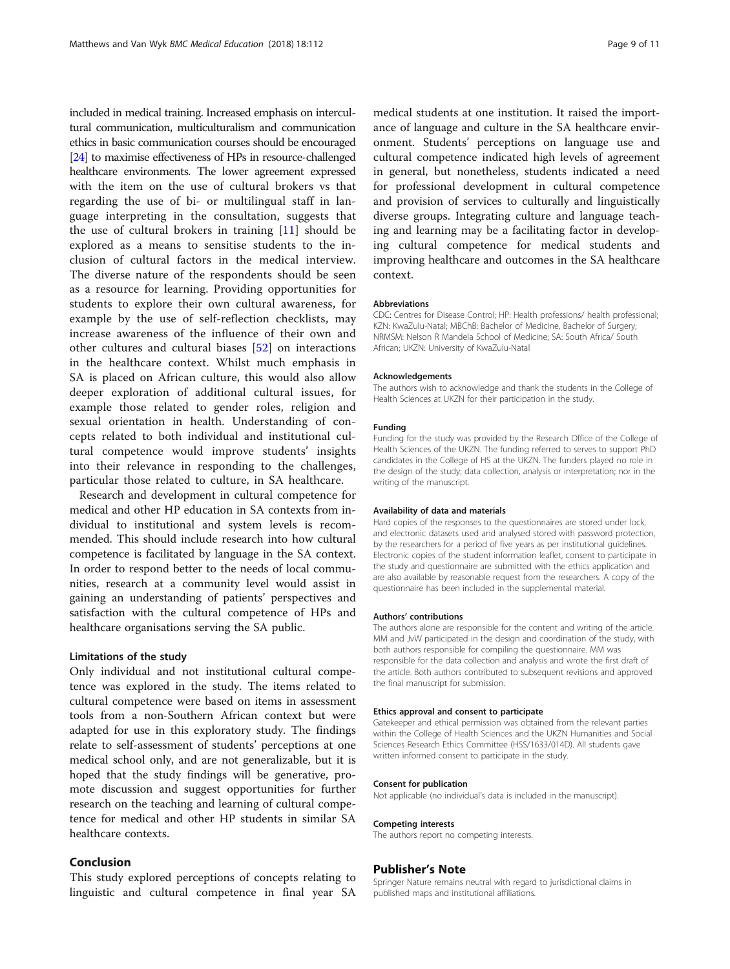included in medical training. Increased emphasis on intercultural communication, multiculturalism and communication ethics in basic communication courses should be encouraged [[24\]](#page-9-0) to maximise effectiveness of HPs in resource-challenged healthcare environments. The lower agreement expressed with the item on the use of cultural brokers vs that regarding the use of bi- or multilingual staff in language interpreting in the consultation, suggests that the use of cultural brokers in training [[11\]](#page-9-0) should be explored as a means to sensitise students to the inclusion of cultural factors in the medical interview. The diverse nature of the respondents should be seen as a resource for learning. Providing opportunities for students to explore their own cultural awareness, for example by the use of self-reflection checklists, may increase awareness of the influence of their own and other cultures and cultural biases [[52\]](#page-10-0) on interactions in the healthcare context. Whilst much emphasis in SA is placed on African culture, this would also allow deeper exploration of additional cultural issues, for example those related to gender roles, religion and sexual orientation in health. Understanding of concepts related to both individual and institutional cultural competence would improve students' insights into their relevance in responding to the challenges, particular those related to culture, in SA healthcare.

Research and development in cultural competence for medical and other HP education in SA contexts from individual to institutional and system levels is recommended. This should include research into how cultural competence is facilitated by language in the SA context. In order to respond better to the needs of local communities, research at a community level would assist in gaining an understanding of patients' perspectives and satisfaction with the cultural competence of HPs and healthcare organisations serving the SA public.

## Limitations of the study

Only individual and not institutional cultural competence was explored in the study. The items related to cultural competence were based on items in assessment tools from a non-Southern African context but were adapted for use in this exploratory study. The findings relate to self-assessment of students' perceptions at one medical school only, and are not generalizable, but it is hoped that the study findings will be generative, promote discussion and suggest opportunities for further research on the teaching and learning of cultural competence for medical and other HP students in similar SA healthcare contexts.

## Conclusion

This study explored perceptions of concepts relating to linguistic and cultural competence in final year SA medical students at one institution. It raised the importance of language and culture in the SA healthcare environment. Students' perceptions on language use and cultural competence indicated high levels of agreement in general, but nonetheless, students indicated a need for professional development in cultural competence and provision of services to culturally and linguistically diverse groups. Integrating culture and language teaching and learning may be a facilitating factor in developing cultural competence for medical students and improving healthcare and outcomes in the SA healthcare context.

#### Abbreviations

CDC: Centres for Disease Control; HP: Health professions/ health professional; KZN: KwaZulu-Natal; MBChB: Bachelor of Medicine, Bachelor of Surgery; NRMSM: Nelson R Mandela School of Medicine; SA: South Africa/ South African; UKZN: University of KwaZulu-Natal

#### Acknowledgements

The authors wish to acknowledge and thank the students in the College of Health Sciences at UKZN for their participation in the study.

#### Funding

Funding for the study was provided by the Research Office of the College of Health Sciences of the UKZN. The funding referred to serves to support PhD candidates in the College of HS at the UKZN. The funders played no role in the design of the study; data collection, analysis or interpretation; nor in the writing of the manuscript.

#### Availability of data and materials

Hard copies of the responses to the questionnaires are stored under lock, and electronic datasets used and analysed stored with password protection, by the researchers for a period of five years as per institutional guidelines. Electronic copies of the student information leaflet, consent to participate in the study and questionnaire are submitted with the ethics application and are also available by reasonable request from the researchers. A copy of the questionnaire has been included in the supplemental material.

#### Authors' contributions

The authors alone are responsible for the content and writing of the article. MM and JvW participated in the design and coordination of the study, with both authors responsible for compiling the questionnaire. MM was responsible for the data collection and analysis and wrote the first draft of the article. Both authors contributed to subsequent revisions and approved the final manuscript for submission.

#### Ethics approval and consent to participate

Gatekeeper and ethical permission was obtained from the relevant parties within the College of Health Sciences and the UKZN Humanities and Social Sciences Research Ethics Committee (HSS/1633/014D). All students gave written informed consent to participate in the study.

#### Consent for publication

Not applicable (no individual's data is included in the manuscript).

#### Competing interests

The authors report no competing interests.

#### Publisher's Note

Springer Nature remains neutral with regard to jurisdictional claims in published maps and institutional affiliations.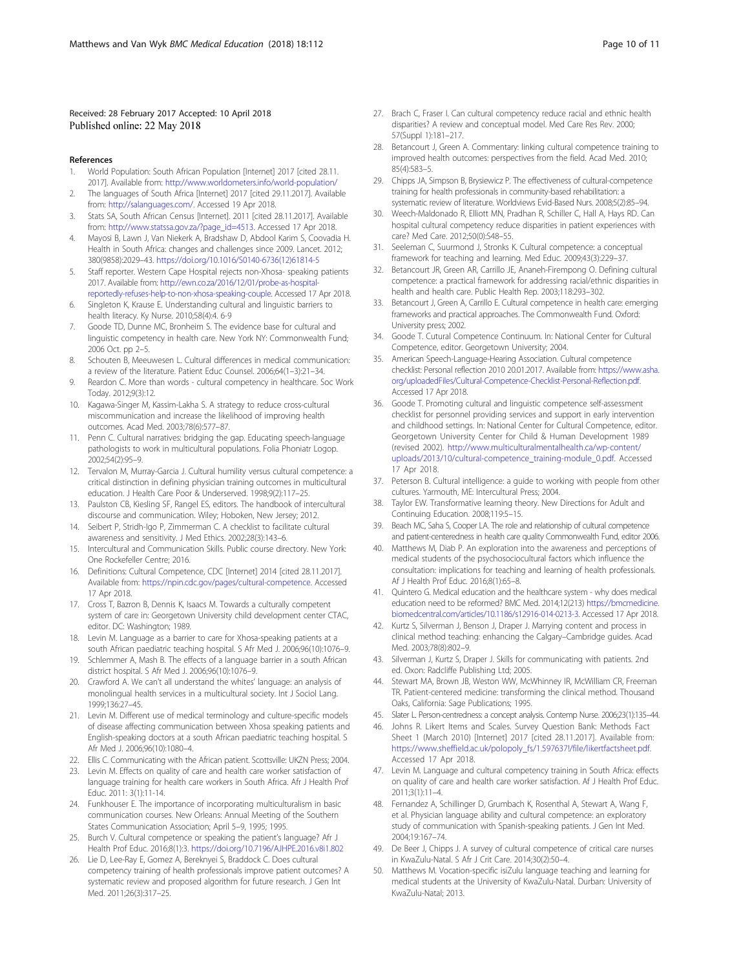#### <span id="page-9-0"></span>Received: 28 February 2017 Accepted: 10 April 2018 Published online: 22 May 2018

- References
- 1. World Population: South African Population [Internet] 2017 [cited 28.11. 2017]. Available from: <http://www.worldometers.info/world-population/>
- 2. The languages of South Africa [Internet] 2017 [cited 29.11.2017]. Available from: [http://salanguages.com/.](http://salanguages.com/) Accessed 19 Apr 2018.
- Stats SA, South African Census [Internet]. 2011 [cited 28.11.2017]. Available from: [http://www.statssa.gov.za/?page\\_id=4513.](http://www.statssa.gov.za/census/census_2011/census_products/Census_2011_Census_in_brief.pdf) Accessed 17 Apr 2018.
- Mayosi B, Lawn J, Van Niekerk A, Bradshaw D, Abdool Karim S, Coovadia H. Health in South Africa: changes and challenges since 2009. Lancet. 2012; 380(9858):2029–43. [https://doi.org/10.1016/S0140-6736\(12\)61814-5](https://doi.org/10.1016/S0140-6736(12)61814-5)
- 5. Staff reporter. Western Cape Hospital rejects non-Xhosa- speaking patients 2017. Available from: [http://ewn.co.za/2016/12/01/probe-as-hospital](http://ewn.co.za/2016/12/01/probe-as-hospital-reportedly-refuses-help-to-non-xhosa-speaking-couple)[reportedly-refuses-help-to-non-xhosa-speaking-couple](http://ewn.co.za/2016/12/01/probe-as-hospital-reportedly-refuses-help-to-non-xhosa-speaking-couple). Accessed 17 Apr 2018.
- 6. Singleton K, Krause E. Understanding cultural and linguistic barriers to health literacy. Ky Nurse. 2010;58(4):4. 6-9
- 7. Goode TD, Dunne MC, Bronheim S. The evidence base for cultural and linguistic competency in health care. New York NY: Commonwealth Fund; 2006 Oct. pp 2–5.
- 8. Schouten B, Meeuwesen L. Cultural differences in medical communication: a review of the literature. Patient Educ Counsel. 2006;64(1–3):21–34.
- 9. Reardon C. More than words cultural competency in healthcare. Soc Work Today. 2012;9(3):12.
- 10. Kagawa-Singer M, Kassim-Lakha S. A strategy to reduce cross-cultural miscommunication and increase the likelihood of improving health outcomes. Acad Med. 2003;78(6):577–87.
- 11. Penn C. Cultural narratives: bridging the gap. Educating speech-language pathologists to work in multicultural populations. Folia Phoniatr Logop. 2002;54(2):95–9.
- 12. Tervalon M, Murray-Garcia J. Cultural humility versus cultural competence: a critical distinction in defining physician training outcomes in multicultural education. J Health Care Poor & Underserved. 1998;9(2):117–25.
- 13. Paulston CB, Kiesling SF, Rangel ES, editors. The handbook of intercultural discourse and communication. Wiley; Hoboken, New Jersey; 2012.
- 14. Seibert P, Stridh-Igo P, Zimmerman C. A checklist to facilitate cultural awareness and sensitivity. J Med Ethics. 2002;28(3):143–6.
- Intercultural and Communication Skills. Public course directory. New York: One Rockefeller Centre; 2016.
- 16. Definitions: Cultural Competence, CDC [Internet] 2014 [cited 28.11.2017]. Available from: [https://npin.cdc.gov/pages/cultural-competence.](https://npin.cdc.gov/pages/cultural-competence) Accessed 17 Apr 2018.
- 17. Cross T, Bazron B, Dennis K, Isaacs M. Towards a culturally competent system of care in: Georgetown University child development center CTAC, editor. DC: Washington; 1989.
- 18. Levin M. Language as a barrier to care for Xhosa-speaking patients at a south African paediatric teaching hospital. S Afr Med J. 2006;96(10):1076–9. 19. Schlemmer A, Mash B. The effects of a language barrier in a south African
- district hospital. S Afr Med J. 2006;96(10):1076–9.
- 20. Crawford A. We can't all understand the whites' language: an analysis of monolingual health services in a multicultural society. Int J Sociol Lang. 1999;136:27–45.
- 21. Levin M. Different use of medical terminology and culture-specific models of disease affecting communication between Xhosa speaking patients and English-speaking doctors at a south African paediatric teaching hospital. S Afr Med J. 2006;96(10):1080–4.
- 22. Ellis C. Communicating with the African patient. Scottsville: UKZN Press; 2004.
- 23. Levin M. Effects on quality of care and health care worker satisfaction of language training for health care workers in South Africa. Afr J Health Prof Educ. 2011: 3(1):11-14.
- 24. Funkhouser E. The importance of incorporating multiculturalism in basic communication courses. New Orleans: Annual Meeting of the Southern States Communication Association; April 5–9, 1995; 1995.
- 25. Burch V. Cultural competence or speaking the patient's language? Afr J Health Prof Educ. 2016;8(1):3. <https://doi.org/10.7196/AJHPE.2016.v8i1.802>
- 26. Lie D, Lee-Ray E, Gomez A, Bereknyei S, Braddock C. Does cultural competency training of health professionals improve patient outcomes? A systematic review and proposed algorithm for future research. J Gen Int Med. 2011;26(3):317–25.
- 27. Brach C, Fraser I. Can cultural competency reduce racial and ethnic health disparities? A review and conceptual model. Med Care Res Rev. 2000; 57(Suppl 1):181–217.
- 28. Betancourt J, Green A. Commentary: linking cultural competence training to improved health outcomes: perspectives from the field. Acad Med. 2010; 85(4):583–5.
- 29. Chipps JA, Simpson B, Brysiewicz P. The effectiveness of cultural-competence training for health professionals in community-based rehabilitation: a systematic review of literature. Worldviews Evid-Based Nurs. 2008;5(2):85–94.
- 30. Weech-Maldonado R, Elliott MN, Pradhan R, Schiller C, Hall A, Hays RD. Can hospital cultural competency reduce disparities in patient experiences with care? Med Care. 2012;50(0):S48–55.
- 31. Seeleman C, Suurmond J, Stronks K. Cultural competence: a conceptual framework for teaching and learning. Med Educ. 2009;43(3):229–37.
- 32. Betancourt JR, Green AR, Carrillo JE, Ananeh-Firempong O. Defining cultural competence: a practical framework for addressing racial/ethnic disparities in health and health care. Public Health Rep. 2003;118:293–302.
- 33. Betancourt J, Green A, Carrillo E. Cultural competence in health care: emerging frameworks and practical approaches. The Commonwealth Fund. Oxford: University press; 2002.
- 34. Goode T. Cutural Competence Continuum. In: National Center for Cultural Competence, editor. Georgetown University; 2004.
- 35. American Speech-Language-Hearing Association. Cultural competence checklist: Personal reflection 2010 20.01.2017. Available from: [https://www.asha.](https://www.asha.org/uploadedFiles/Cultural-Competence-Checklist-Personal-Reflection.pdf) [org/uploadedFiles/Cultural-Competence-Checklist-Personal-Reflection.pdf.](https://www.asha.org/uploadedFiles/Cultural-Competence-Checklist-Personal-Reflection.pdf) Accessed 17 Apr 2018.
- 36. Goode T. Promoting cultural and linguistic competence self-assessment checklist for personnel providing services and support in early intervention and childhood settings. In: National Center for Cultural Competence, editor. Georgetown University Center for Child & Human Development 1989 (revised 2002). [http://www.multiculturalmentalhealth.ca/wp-content/](http://www.multiculturalmentalhealth.ca/wp-content/uploads/2013/10/cultural-competence_training-module_0.pdf) [uploads/2013/10/cultural-competence\\_training-module\\_0.pdf](http://www.multiculturalmentalhealth.ca/wp-content/uploads/2013/10/cultural-competence_training-module_0.pdf). Accessed 17 Apr 2018.
- 37. Peterson B. Cultural intelligence: a guide to working with people from other cultures. Yarmouth, ME: Intercultural Press; 2004.
- 38. Taylor EW. Transformative learning theory. New Directions for Adult and Continuing Education. 2008;119:5–15.
- Beach MC, Saha S, Cooper LA. The role and relationship of cultural competence and patient-centeredness in health care quality Commonwealth Fund, editor 2006.
- 40. Matthews M, Diab P. An exploration into the awareness and perceptions of medical students of the psychosociocultural factors which influence the consultation: implications for teaching and learning of health professionals. Af J Health Prof Educ. 2016;8(1):65–8.
- 41. Quintero G. Medical education and the healthcare system why does medical education need to be reformed? BMC Med. 2014;12(213) [https://bmcmedicine.](https://bmcmedicine.biomedcentral.com/articles/10.1186/s12916-014-0213-3) [biomedcentral.com/articles/10.1186/s12916-014-0213-3](https://bmcmedicine.biomedcentral.com/articles/10.1186/s12916-014-0213-3). Accessed 17 Apr 2018.
- 42. Kurtz S, Silverman J, Benson J, Draper J. Marrying content and process in clinical method teaching: enhancing the Calgary–Cambridge guides. Acad Med. 2003;78(8):802–9.
- 43. Silverman J, Kurtz S, Draper J. Skills for communicating with patients. 2nd ed. Oxon: Radcliffe Publishing Ltd; 2005.
- Stewart MA, Brown JB, Weston WW, McWhinney IR, McWilliam CR, Freeman TR. Patient-centered medicine: transforming the clinical method. Thousand Oaks, California: Sage Publications; 1995.
- 45. Slater L. Person-centredness: a concept analysis. Contemp Nurse. 2006;23(1):135–44.
- 46. Johns R. Likert Items and Scales. Survey Question Bank: Methods Fact Sheet 1 (March 2010) [Internet] 2017 [cited 28.11.2017]. Available from: [https://www.sheffield.ac.uk/polopoly\\_fs/1.597637!/file/likertfactsheet.pdf](https://www.sheffield.ac.uk/polopoly_fs/1.597637!/file/likertfactsheet.pdf). Accessed 17 Apr 2018.
- 47. Levin M. Language and cultural competency training in South Africa: effects on quality of care and health care worker satisfaction. Af J Health Prof Educ. 2011;3(1):11–4.
- 48. Fernandez A, Schillinger D, Grumbach K, Rosenthal A, Stewart A, Wang F, et al. Physician language ability and cultural competence: an exploratory study of communication with Spanish-speaking patients. J Gen Int Med. 2004;19:167–74.
- 49. De Beer J, Chipps J. A survey of cultural competence of critical care nurses in KwaZulu-Natal. S Afr J Crit Care. 2014;30(2):50–4.
- 50. Matthews M. Vocation-specific isiZulu language teaching and learning for medical students at the University of KwaZulu-Natal. Durban: University of KwaZulu-Natal; 2013.